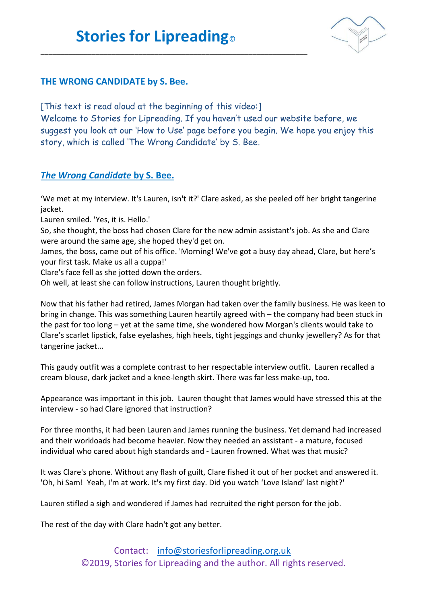\_\_\_\_\_\_\_\_\_\_\_\_\_\_\_\_\_\_\_\_\_\_\_\_\_\_\_\_\_\_\_\_\_\_\_\_\_\_\_\_\_\_\_\_\_\_\_\_\_\_\_\_\_\_\_\_\_\_\_\_\_\_\_\_\_\_\_\_



## **THE WRONG CANDIDATE by S. Bee.**

[This text is read aloud at the beginning of this video:] Welcome to Stories for Lipreading. If you haven't used our website before, we suggest you look at our 'How to Use' page before you begin. We hope you enjoy this story, which is called 'The Wrong Candidate' by S. Bee.

## *The Wrong Candidate* **by S. Bee.**

'We met at my interview. It's Lauren, isn't it?' Clare asked, as she peeled off her bright tangerine jacket.

Lauren smiled. 'Yes, it is. Hello.'

So, she thought, the boss had chosen Clare for the new admin assistant's job. As she and Clare were around the same age, she hoped they'd get on.

James, the boss, came out of his office. 'Morning! We've got a busy day ahead, Clare, but here's your first task. Make us all a cuppa!'

Clare's face fell as she jotted down the orders.

Oh well, at least she can follow instructions, Lauren thought brightly.

Now that his father had retired, James Morgan had taken over the family business. He was keen to bring in change. This was something Lauren heartily agreed with – the company had been stuck in the past for too long – yet at the same time, she wondered how Morgan's clients would take to Clare's scarlet lipstick, false eyelashes, high heels, tight jeggings and chunky jewellery? As for that tangerine jacket...

This gaudy outfit was a complete contrast to her respectable interview outfit. Lauren recalled a cream blouse, dark jacket and a knee-length skirt. There was far less make-up, too.

Appearance was important in this job. Lauren thought that James would have stressed this at the interview - so had Clare ignored that instruction?

For three months, it had been Lauren and James running the business. Yet demand had increased and their workloads had become heavier. Now they needed an assistant - a mature, focused individual who cared about high standards and - Lauren frowned. What was that music?

It was Clare's phone. Without any flash of guilt, Clare fished it out of her pocket and answered it. 'Oh, hi Sam! Yeah, I'm at work. It's my first day. Did you watch 'Love Island' last night?'

Lauren stifled a sigh and wondered if James had recruited the right person for the job.

The rest of the day with Clare hadn't got any better.

Contact: [info@storiesforlipreading.org.uk](mailto:info@storiesforlipreading.org.uk) ©2019, Stories for Lipreading and the author. All rights reserved.